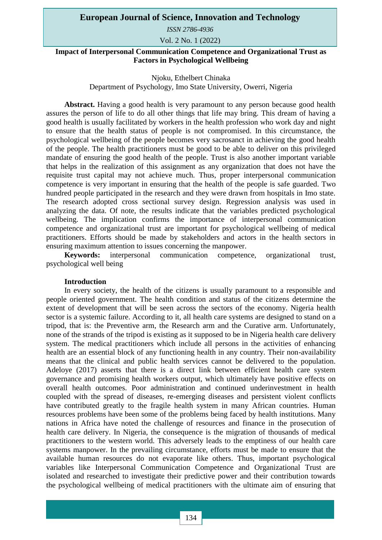*ISSN 2786-4936* 

Vol. 2 No. 1 (2022)

**Impact of Interpersonal Communication Competence and Organizational Trust as Factors in Psychological Wellbeing** 

### Njoku, Ethelbert Chinaka

Department of Psychology, Imo State University, Owerri, Nigeria

**Abstract.** Having a good health is very paramount to any person because good health assures the person of life to do all other things that life may bring. This dream of having a good health is usually facilitated by workers in the health profession who work day and night to ensure that the health status of people is not compromised. In this circumstance, the psychological wellbeing of the people becomes very sacrosanct in achieving the good health of the people. The health practitioners must be good to be able to deliver on this privileged mandate of ensuring the good health of the people. Trust is also another important variable that helps in the realization of this assignment as any organization that does not have the requisite trust capital may not achieve much. Thus, proper interpersonal communication competence is very important in ensuring that the health of the people is safe guarded. Two hundred people participated in the research and they were drawn from hospitals in Imo state. The research adopted cross sectional survey design. Regression analysis was used in analyzing the data. Of note, the results indicate that the variables predicted psychological wellbeing. The implication confirms the importance of interpersonal communication competence and organizational trust are important for psychological wellbeing of medical practitioners. Efforts should be made by stakeholders and actors in the health sectors in ensuring maximum attention to issues concerning the manpower.

**Keywords:** interpersonal communication competence, organizational trust, psychological well being

#### **Introduction**

In every society, the health of the citizens is usually paramount to a responsible and people oriented government. The health condition and status of the citizens determine the extent of development that will be seen across the sectors of the economy. Nigeria health sector is a systemic failure. According to it, all health care systems are designed to stand on a tripod, that is: the Preventive arm, the Research arm and the Curative arm. Unfortunately, none of the strands of the tripod is existing as it supposed to be in Nigeria health care delivery system. The medical practitioners which include all persons in the activities of enhancing health are an essential block of any functioning health in any country. Their non-availability means that the clinical and public health services cannot be delivered to the population. Adeloye (2017) asserts that there is a direct link between efficient health care system governance and promising health workers output, which ultimately have positive effects on overall health outcomes. Poor administration and continued underinvestment in health coupled with the spread of diseases, re-emerging diseases and persistent violent conflicts have contributed greatly to the fragile health system in many African countries. Human resources problems have been some of the problems being faced by health institutions. Many nations in Africa have noted the challenge of resources and finance in the prosecution of health care delivery. In Nigeria, the consequence is the migration of thousands of medical practitioners to the western world. This adversely leads to the emptiness of our health care systems manpower. In the prevailing circumstance, efforts must be made to ensure that the available human resources do not evaporate like others. Thus, important psychological variables like Interpersonal Communication Competence and Organizational Trust are isolated and researched to investigate their predictive power and their contribution towards the psychological wellbeing of medical practitioners with the ultimate aim of ensuring that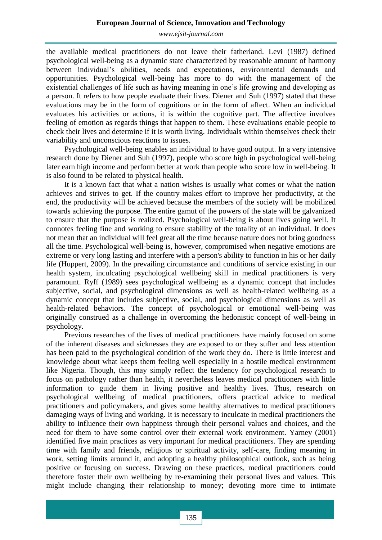*[www.ejsit-journal.com](http://www.ejsit-journal.com/)*

the available medical practitioners do not leave their fatherland. Levi (1987) defined psychological well-being as a dynamic state characterized by reasonable amount of harmony between individual's abilities, needs and expectations, environmental demands and opportunities. Psychological well-being has more to do with the management of the existential challenges of life such as having meaning in one's life growing and developing as a person. It refers to how people evaluate their lives. Diener and Suh (1997) stated that these evaluations may be in the form of cognitions or in the form of affect. When an individual evaluates his activities or actions, it is within the cognitive part. The affective involves feeling of emotion as regards things that happen to them. These evaluations enable people to check their lives and determine if it is worth living. Individuals within themselves check their variability and unconscious reactions to issues.

Psychological well-being enables an individual to have good output. In a very intensive research done by Diener and Suh (1997), people who score high in psychological well-being later earn high income and perform better at work than people who score low in well-being. It is also found to be related to physical health.

It is a known fact that what a nation wishes is usually what comes or what the nation achieves and strives to get. If the country makes effort to improve her productivity, at the end, the productivity will be achieved because the members of the society will be mobilized towards achieving the purpose. The entire gamut of the powers of the state will be galvanized to ensure that the purpose is realized. Psychological well-being is about lives going well. It connotes feeling fine and working to ensure stability of the totality of an individual. It does not mean that an individual will feel great all the time because nature does not bring goodness all the time. Psychological well-being is, however, compromised when negative emotions are extreme or very long lasting and interfere with a person's ability to function in his or her daily life (Huppert, 2009). In the prevailing circumstance and conditions of service existing in our health system, inculcating psychological wellbeing skill in medical practitioners is very paramount. Ryff (1989) sees psychological wellbeing as a dynamic concept that includes subjective, social, and psychological dimensions as well as health-related wellbeing as a dynamic concept that includes subjective, social, and psychological dimensions as well as health-related behaviors. The concept of psychological or emotional well-being was originally construed as a challenge in overcoming the hedonistic concept of well-being in psychology.

Previous researches of the lives of medical practitioners have mainly focused on some of the inherent diseases and sicknesses they are exposed to or they suffer and less attention has been paid to the psychological condition of the work they do. There is little interest and knowledge about what keeps them feeling well especially in a hostile medical environment like Nigeria. Though, this may simply reflect the tendency for psychological research to focus on pathology rather than health, it nevertheless leaves medical practitioners with little information to guide them in living positive and healthy lives. Thus, research on psychological wellbeing of medical practitioners, offers practical advice to medical practitioners and policymakers, and gives some healthy alternatives to medical practitioners damaging ways of living and working. It is necessary to inculcate in medical practitioners the ability to influence their own happiness through their personal values and choices, and the need for them to have some control over their external work environment. Yarney (2001) identified five main practices as very important for medical practitioners. They are spending time with family and friends, religious or spiritual activity, self-care, finding meaning in work, setting limits around it, and adopting a healthy philosophical outlook, such as being positive or focusing on success. Drawing on these practices, medical practitioners could therefore foster their own wellbeing by re-examining their personal lives and values. This might include changing their relationship to money; devoting more time to intimate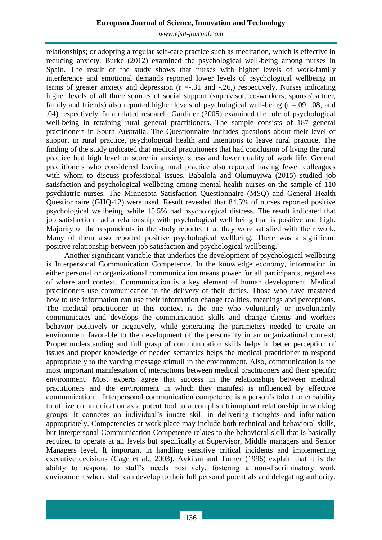*[www.ejsit-journal.com](http://www.ejsit-journal.com/)*

relationships; or adopting a regular self-care practice such as meditation, which is effective in reducing anxiety. Burke (2012) examined the psychological well-being among nurses in Spain. The result of the study shows that nurses with higher levels of work-family interference and emotional demands reported lower levels of psychological wellbeing in terms of greater anxiety and depression  $(r = .31$  and  $-.26)$ , respectively. Nurses indicating higher levels of all three sources of social support (supervisor, co-workers, spouse/partner, family and friends) also reported higher levels of psychological well-being  $(r = .09, .08, )$  and .04) respectively. In a related research, Gardiner (2005) examined the role of psychological well-being in retaining rural general practitioners. The sample consists of 187 general practitioners in South Australia. The Questionnaire includes questions about their level of support in rural practice, psychological health and intentions to leave rural practice. The finding of the study indicated that medical practitioners that had conclusion of living the rural practice had high level or score in anxiety, stress and lower quality of work life. General practitioners who considered leaving rural practice also reported having fewer colleagues with whom to discuss professional issues. Babalola and Olumuyiwa (2015) studied job satisfaction and psychological wellbeing among mental health nurses on the sample of 110 psychiatric nurses. The Minnesota Satisfaction Questionnaire (MSQ) and General Health Questionnaire (GHQ-12) were used. Result revealed that 84.5% of nurses reported positive psychological wellbeing, while 15.5% had psychological distress. The result indicated that job satisfaction had a relationship with psychological well being that is positive and high. Majority of the respondents in the study reported that they were satisfied with their work. Many of them also reported positive psychological wellbeing. There was a significant positive relationship between job satisfaction and psychological wellbeing.

Another significant variable that underlies the development of psychological wellbeing is Interpersonal Communication Competence. In the knowledge economy, information in either personal or organizational communication means power for all participants, regardless of where and context. Communication is a key element of human development. Medical practitioners use communication in the delivery of their duties. Those who have mastered how to use information can use their information change realities, meanings and perceptions. The medical practitioner in this context is the one who voluntarily or involuntarily communicates and develops the communication skills and change clients and workers behavior positively or negatively, while generating the parameters needed to create an environment favorable to the development of the personality in an organizational context. Proper understanding and full grasp of communication skills helps in better perception of issues and proper knowledge of needed semantics helps the medical practitioner to respond appropriately to the varying message stimuli in the environment. Also, communication is the most important manifestation of interactions between medical practitioners and their specific environment. Most experts agree that success in the relationships between medical practitioners and the environment in which they manifest is influenced by effective communication. . Interpersonal communication competence is a person's talent or capability to utilize communication as a potent tool to accomplish triumphant relationship in working groups. It connotes an individual's innate skill in delivering thoughts and information appropriately. Competencies at work place may include both technical and behavioral skills, but Interpersonal Communication Competence relates to the behavioral skill that is basically required to operate at all levels but specifically at Supervisor, Middle managers and Senior Managers level. It important in handling sensitive critical incidents and implementing executive decisions (Cage et al., 2003). Avkiran and Turner (1996) explain that it is the ability to respond to staff's needs positively, fostering a non-discriminatory work environment where staff can develop to their full personal potentials and delegating authority.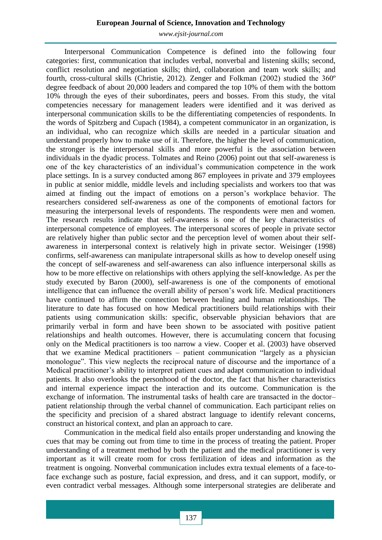*[www.ejsit-journal.com](http://www.ejsit-journal.com/)*

Interpersonal Communication Competence is defined into the following four categories: first, communication that includes verbal, nonverbal and listening skills; second, conflict resolution and negotiation skills; third, collaboration and team work skills; and fourth, cross-cultural skills (Christie, 2012). Zenger and Folkman (2002) studied the 360º degree feedback of about 20,000 leaders and compared the top 10% of them with the bottom 10% through the eyes of their subordinates, peers and bosses. From this study, the vital competencies necessary for management leaders were identified and it was derived as interpersonal communication skills to be the differentiating competencies of respondents. In the words of Spitzberg and Cupach (1984), a competent communicator in an organization, is an individual, who can recognize which skills are needed in a particular situation and understand properly how to make use of it. Therefore, the higher the level of communication, the stronger is the interpersonal skills and more powerful is the association between individuals in the dyadic process. Tolmates and Reino (2006) point out that self-awareness is one of the key characteristics of an individual's communication competence in the work place settings. In is a survey conducted among 867 employees in private and 379 employees in public at senior middle, middle levels and including specialists and workers too that was aimed at finding out the impact of emotions on a person's workplace behavior. The researchers considered self-awareness as one of the components of emotional factors for measuring the interpersonal levels of respondents. The respondents were men and women. The research results indicate that self-awareness is one of the key characteristics of interpersonal competence of employees. The interpersonal scores of people in private sector are relatively higher than public sector and the perception level of women about their selfawareness in interpersonal context is relatively high in private sector. Weisinger (1998) confirms, self-awareness can manipulate intrapersonal skills as how to develop oneself using the concept of self-awareness and self-awareness can also influence interpersonal skills as how to be more effective on relationships with others applying the self-knowledge. As per the study executed by Baron (2000), self-awareness is one of the components of emotional intelligence that can influence the overall ability of person's work life. Medical practitioners have continued to affirm the connection between healing and human relationships. The literature to date has focused on how Medical practitioners build relationships with their patients using communication skills: specific, observable physician behaviors that are primarily verbal in form and have been shown to be associated with positive patient relationships and health outcomes. However, there is accumulating concern that focusing only on the Medical practitioners is too narrow a view. Cooper et al. (2003) have observed that we examine Medical practitioners – patient communication "largely as a physician monologue". This view neglects the reciprocal nature of discourse and the importance of a Medical practitioner's ability to interpret patient cues and adapt communication to individual patients. It also overlooks the personhood of the doctor, the fact that his/her characteristics and internal experience impact the interaction and its outcome. Communication is the exchange of information. The instrumental tasks of health care are transacted in the doctor– patient relationship through the verbal channel of communication. Each participant relies on the specificity and precision of a shared abstract language to identify relevant concerns, construct an historical context, and plan an approach to care.

Communication in the medical field also entails proper understanding and knowing the cues that may be coming out from time to time in the process of treating the patient. Proper understanding of a treatment method by both the patient and the medical practitioner is very important as it will create room for cross fertilization of ideas and information as the treatment is ongoing. Nonverbal communication includes extra textual elements of a face-toface exchange such as posture, facial expression, and dress, and it can support, modify, or even contradict verbal messages. Although some interpersonal strategies are deliberate and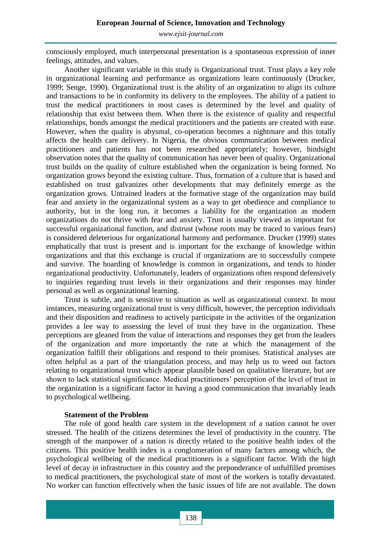consciously employed, much interpersonal presentation is a spontaneous expression of inner feelings, attitudes, and values.

Another significant variable in this study is Organizational trust. Trust plays a key role in organizational learning and performance as organizations learn continuously (Drucker, 1999; Senge, 1990). Organizational trust is the ability of an organization to align its culture and transactions to be in conformity its delivery to the employees. The ability of a patient to trust the medical practitioners in most cases is determined by the level and quality of relationship that exist between them. When there is the existence of quality and respectful relationships, bonds amongst the medical practitioners and the patients are created with ease. However, when the quality is abysmal, co-operation becomes a nightmare and this totally affects the health care delivery. In Nigeria, the obvious communication between medical practitioners and patients has not been researched appropriately; however, hindsight observation notes that the quality of communication has never been of quality. Organizational trust builds on the quality of culture established when the organization is being formed. No organization grows beyond the existing culture. Thus, formation of a culture that is based and established on trust galvanizes other developments that may definitely emerge as the organization grows. Untrained leaders at the formative stage of the organization may build fear and anxiety in the organizational system as a way to get obedience and compliance to authority, but in the long run, it becomes a liability for the organization as modern organizations do not thrive with fear and anxiety. Trust is usually viewed as important for successful organizational function, and distrust (whose roots may be traced to various fears) is considered deleterious for organizational harmony and performance. Drucker (1999) states emphatically that trust is present and is important for the exchange of knowledge within organizations and that this exchange is crucial if organizations are to successfully compete and survive. The hoarding of knowledge is common in organizations, and tends to hinder organizational productivity. Unfortunately, leaders of organizations often respond defensively to inquiries regarding trust levels in their organizations and their responses may hinder personal as well as organizational learning.

Trust is subtle, and is sensitive to situation as well as organizational context. In most instances, measuring organizational trust is very difficult, however, the perception individuals and their disposition and readiness to actively participate in the activities of the organization provides a lee way to assessing the level of trust they have in the organization. These perceptions are gleaned from the value of interactions and responses they get from the leaders of the organization and more importantly the rate at which the management of the organization fulfill their obligations and respond to their promises. Statistical analyses are often helpful as a part of the triangulation process, and may help us to weed out factors relating to organizational trust which appear plausible based on qualitative literature, but are shown to lack statistical significance. Medical practitioners' perception of the level of trust in the organization is a significant factor in having a good communication that invariably leads to psychological wellbeing.

# **Statement of the Problem**

The role of good health care system in the development of a nation cannot be over stressed. The health of the citizens determines the level of productivity in the country. The strength of the manpower of a nation is directly related to the positive health index of the citizens. This positive health index is a conglomeration of many factors among which, the psychological wellbeing of the medical practitioners is a significant factor. With the high level of decay in infrastructure in this country and the preponderance of unfulfilled promises to medical practitioners, the psychological state of most of the workers is totally devastated. No worker can function effectively when the basic issues of life are not available. The down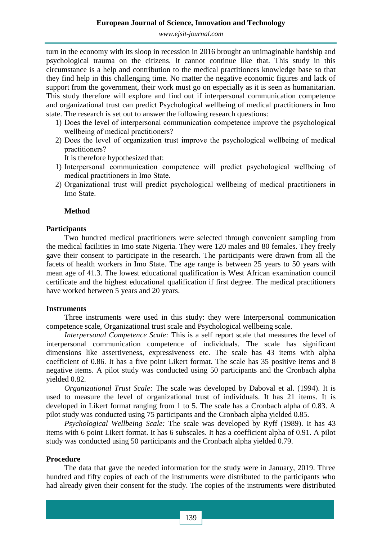turn in the economy with its sloop in recession in 2016 brought an unimaginable hardship and psychological trauma on the citizens. It cannot continue like that. This study in this circumstance is a help and contribution to the medical practitioners knowledge base so that they find help in this challenging time. No matter the negative economic figures and lack of support from the government, their work must go on especially as it is seen as humanitarian. This study therefore will explore and find out if interpersonal communication competence and organizational trust can predict Psychological wellbeing of medical practitioners in Imo state. The research is set out to answer the following research questions:

- 1) Does the level of interpersonal communication competence improve the psychological wellbeing of medical practitioners?
- 2) Does the level of organization trust improve the psychological wellbeing of medical practitioners?

It is therefore hypothesized that:

- 1) Interpersonal communication competence will predict psychological wellbeing of medical practitioners in Imo State.
- 2) Organizational trust will predict psychological wellbeing of medical practitioners in Imo State.

#### **Method**

#### **Participants**

Two hundred medical practitioners were selected through convenient sampling from the medical facilities in Imo state Nigeria. They were 120 males and 80 females. They freely gave their consent to participate in the research. The participants were drawn from all the facets of health workers in Imo State. The age range is between 25 years to 50 years with mean age of 41.3. The lowest educational qualification is West African examination council certificate and the highest educational qualification if first degree. The medical practitioners have worked between 5 years and 20 years.

#### **Instruments**

Three instruments were used in this study: they were Interpersonal communication competence scale, Organizational trust scale and Psychological wellbeing scale.

*Interpersonal Competence Scale:* This is a self report scale that measures the level of interpersonal communication competence of individuals. The scale has significant dimensions like assertiveness, expressiveness etc. The scale has 43 items with alpha coefficient of 0.86. It has a five point Likert format. The scale has 35 positive items and 8 negative items. A pilot study was conducted using 50 participants and the Cronbach alpha yielded 0.82.

*Organizational Trust Scale:* The scale was developed by Daboval et al. (1994). It is used to measure the level of organizational trust of individuals. It has 21 items. It is developed in Likert format ranging from 1 to 5. The scale has a Cronbach alpha of 0.83. A pilot study was conducted using 75 participants and the Cronbach alpha yielded 0.85.

*Psychological Wellbeing Scale:* The scale was developed by Ryff (1989). It has 43 items with 6 point Likert format. It has 6 subscales. It has a coefficient alpha of 0.91. A pilot study was conducted using 50 participants and the Cronbach alpha yielded 0.79.

#### **Procedure**

The data that gave the needed information for the study were in January, 2019. Three hundred and fifty copies of each of the instruments were distributed to the participants who had already given their consent for the study. The copies of the instruments were distributed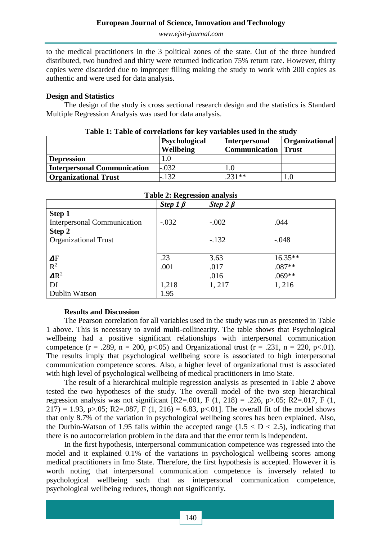to the medical practitioners in the 3 political zones of the state. Out of the three hundred distributed, two hundred and thirty were returned indication 75% return rate. However, thirty copies were discarded due to improper filling making the study to work with 200 copies as authentic and were used for data analysis.

### **Design and Statistics**

The design of the study is cross sectional research design and the statistics is Standard Multiple Regression Analysis was used for data analysis.

| Table 1: Table of correlations for key variables used in the study |               |                            |                |  |  |  |
|--------------------------------------------------------------------|---------------|----------------------------|----------------|--|--|--|
|                                                                    | Psychological | <b>Interpersonal</b>       | Organizational |  |  |  |
|                                                                    | Wellbeing     | <b>Communication</b> Trust |                |  |  |  |
| <b>Depression</b>                                                  | 1.0           |                            |                |  |  |  |
| <b>Interpersonal Communication</b>                                 | $-.032$       |                            |                |  |  |  |
| <b>Organizational Trust</b>                                        | $-.132$       | $.231**$                   |                |  |  |  |

| $\frac{1}{2}$ and $\frac{1}{2}$ are $\frac{1}{2}$ contour when $\frac{1}{2}$ and $\frac{1}{2}$ |                |                |          |  |  |  |
|------------------------------------------------------------------------------------------------|----------------|----------------|----------|--|--|--|
|                                                                                                | Step $1 \beta$ | Step $2 \beta$ |          |  |  |  |
| Step 1                                                                                         |                |                |          |  |  |  |
| <b>Interpersonal Communication</b>                                                             | $-.032$        | $-.002$        | .044     |  |  |  |
| Step 2                                                                                         |                |                |          |  |  |  |
| <b>Organizational Trust</b>                                                                    |                | $-.132$        | $-.048$  |  |  |  |
|                                                                                                |                |                |          |  |  |  |
| $\Delta F$                                                                                     | .23            | 3.63           | 16.35**  |  |  |  |
| $R^2$                                                                                          | .001           | .017           | $.087**$ |  |  |  |
| $\mathbf{A} \mathbf{R}^2$                                                                      |                | .016           | $.069**$ |  |  |  |
| Df                                                                                             | 1,218          | 1, 217         | 1, 216   |  |  |  |
| Dublin Watson                                                                                  | 1.95           |                |          |  |  |  |

| Table 2: Regression analysis |  |
|------------------------------|--|

# **Results and Discussion**

The Pearson correlation for all variables used in the study was run as presented in Table 1 above. This is necessary to avoid multi-collinearity. The table shows that Psychological wellbeing had a positive significant relationships with interpersonal communication competence (r = .289, n = 200, p<.05) and Organizational trust (r = .231, n = 220, p<.01). The results imply that psychological wellbeing score is associated to high interpersonal communication competence scores. Also, a higher level of organizational trust is associated with high level of psychological wellbeing of medical practitioners in Imo State.

The result of a hierarchical multiple regression analysis as presented in Table 2 above tested the two hypotheses of the study. The overall model of the two step hierarchical regression analysis was not significant  $[R2=001, F (1, 218) = .226, p > .05; R2=017, F (1, 1)$ 217) = 1.93, p>.05; R2=.087, F (1, 216) = 6.83, p<.01]. The overall fit of the model shows that only 8.7% of the variation in psychological wellbeing scores has been explained. Also, the Durbin-Watson of 1.95 falls within the accepted range  $(1.5 < D < 2.5)$ , indicating that there is no autocorrelation problem in the data and that the error term is independent.

In the first hypothesis, interpersonal communication competence was regressed into the model and it explained 0.1% of the variations in psychological wellbeing scores among medical practitioners in Imo State. Therefore, the first hypothesis is accepted. However it is worth noting that interpersonal communication competence is inversely related to psychological wellbeing such that as interpersonal communication competence, psychological wellbeing reduces, though not significantly.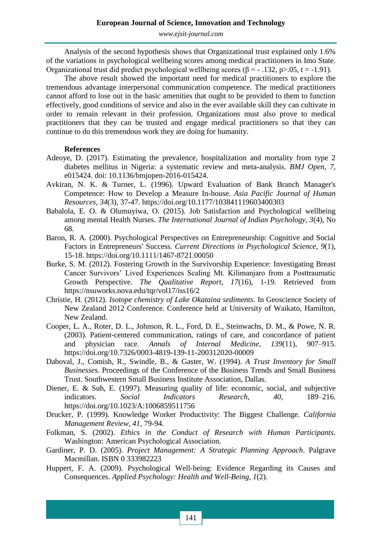Analysis of the second hypothesis shows that Organizational trust explained only 1.6% of the variations in psychological wellbeing scores among medical practitioners in Imo State. Organizational trust did predict psychological wellbeing scores ( $\beta$  = -.132, p $> 0.05$ , t = -1.91).

The above result showed the important need for medical practitioners to explore the tremendous advantage interpersonal communication competence. The medical practitioners cannot afford to lose out in the basic amenities that ought to be provided to them to function effectively, good conditions of service and also in the ever available skill they can cultivate in order to remain relevant in their profession. Organizations must also prove to medical practitioners that they can be trusted and engage medical practitioners so that they can continue to do this tremendous work they are doing for humanity.

#### **References**

- Adeoye, D. (2017). Estimating the prevalence, hospitalization and mortality from type 2 diabetes mellitus in Nigeria: a systematic review and meta-analysis. *BMJ Open, 7*, e015424. doi: 10.1136/bmjopen-2016-015424.
- Avkiran, N. K. & Turner, L. (1996). Upward Evaluation of Bank Branch Manager's Competence: How to Develop a Measure In-house. *Asia Pacific Journal of Human Resources, 34*(3), 37-47. https://doi.org/10.1177/103841119603400303
- Babalola, E. O. & Olumuyiwa, O. (2015). Job Satisfaction and Psychological wellbeing among mental Health Nurses. *The International Journal of Indian Psychology, 3*(4), No 68.
- Baron, R. A. (2000). Psychological Perspectives on Entrepreneurship: Cognitive and Social Factors in Entrepreneurs' Success. *Current Directions in Psychological Science, 9*(1), 15-18. https://doi.org/10.1111/1467-8721.00050
- Burke, S. M. (2012). Fostering Growth in the Survivorship Experience: Investigating Breast Cancer Survivors' Lived Experiences Scaling Mt. Kilimanjaro from a Posttraumatic Growth Perspective. *The Qualitative Report, 17*(16), 1-19. Retrieved from https://nsuworks.nova.edu/tqr/vol17/iss16/2
- Christie, H. (2012). *Isotope chemistry of Lake Okataina sediments*. In Geoscience Society of New Zealand 2012 Conference. Conference held at University of Waikato, Hamilton, New Zealand.
- Cooper, L. A., Roter, D. L., Johnson, R. L., Ford, D. E., Steinwachs, D. M., & Powe, N. R. (2003). Patient-centered communication, ratings of care, and concordance of patient and physician race. *Annals of Internal Medicine, 139*(11), 907–915. https://doi.org/10.7326/0003-4819-139-11-200312020-00009
- Daboval, J., Comish, R., Swindle, B., & Gaster, W. (1994). *A Trust Inventory for Small Businesses*. Proceedings of the Conference of the Business Trends and Small Business Trust. Southwestern Small Business Institute Association, Dallas.
- Diener, E. & Suh, E. (1997). Measuring quality of life: economic, social, and subjective indicators. *Social Indicators Research, 40*, 189–216. https://doi.org/10.1023/A:1006859511756
- Drucker, P. (1999). Knowledge Worker Productivity: The Biggest Challenge. *California Management Review, 41*, 79-94.
- Folkman, S. (2002). *Ethics in the Conduct of Research with Human Participants*. Washington: American Psychological Association.
- Gardiner, P. D. (2005). *Project Management: A Strategic Planning Approach*. Palgrave Macmillan. ISBN 0 333982223
- Huppert, F. A. (2009). Psychological Well‐being: Evidence Regarding its Causes and Consequences. *Applied Psychology: Health and Well-Being, 1*(2).